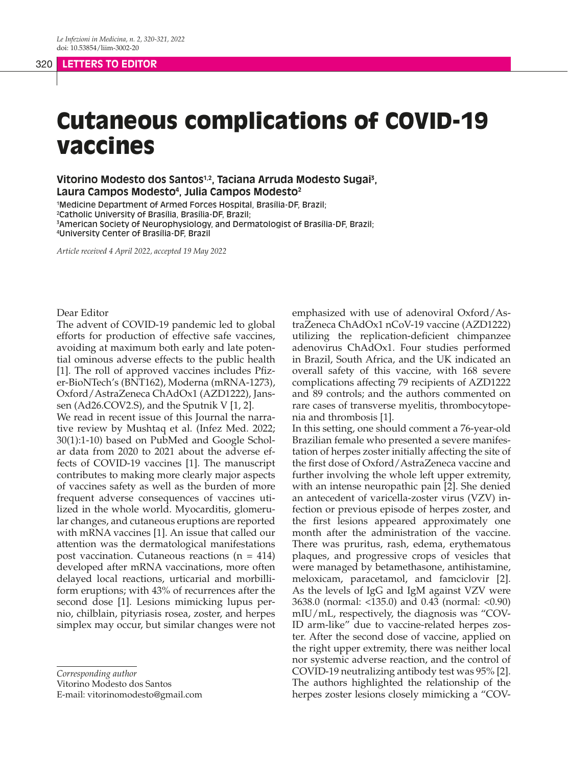# Cutaneous complications of COVID-19 vaccines

**Vitorino Modesto dos Santos1,2, Taciana Arruda Modesto Sugai3 , Laura Campos Modesto4 , Julia Campos Modesto2**

 Medicine Department of Armed Forces Hospital, Brasília-DF, Brazil; Catholic University of Brasília, Brasília-DF, Brazil; American Society of Neurophysiology, and Dermatologist of Brasília-DF, Brazil; University Center of Brasília-DF, Brazil

*Article received 4 April 2022, accepted 19 May 2022*

## Dear Editor

The advent of COVID-19 pandemic led to global efforts for production of effective safe vaccines, avoiding at maximum both early and late potential ominous adverse effects to the public health [1]. The roll of approved vaccines includes Pfizer-BioNTech's (BNT162), Moderna (mRNA-1273), Oxford/AstraZeneca ChAdOx1 (AZD1222), Janssen (Ad26.COV2.S), and the Sputnik V [1, 2]. We read in recent issue of this Journal the narra-

tive review by Mushtaq et al. (Infez Med. 2022; 30(1):1-10) based on PubMed and Google Scholar data from 2020 to 2021 about the adverse effects of COVID-19 vaccines [1]. The manuscript contributes to making more clearly major aspects of vaccines safety as well as the burden of more frequent adverse consequences of vaccines utilized in the whole world. Myocarditis, glomerular changes, and cutaneous eruptions are reported with mRNA vaccines [1]. An issue that called our attention was the dermatological manifestations post vaccination. Cutaneous reactions  $(n = 414)$ developed after mRNA vaccinations, more often delayed local reactions, urticarial and morbilliform eruptions; with 43% of recurrences after the second dose [1]. Lesions mimicking lupus pernio, chilblain, pityriasis rosea, zoster, and herpes simplex may occur, but similar changes were not

*Corresponding author*

Vitorino Modesto dos Santos

E-mail: vitorinomodesto@gmail.com

emphasized with use of adenoviral Oxford/AstraZeneca ChAdOx1 nCoV-19 vaccine (AZD1222) utilizing the replication-deficient chimpanzee adenovirus ChAdOx1. Four studies performed in Brazil, South Africa, and the UK indicated an overall safety of this vaccine, with 168 severe complications affecting 79 recipients of AZD1222 and 89 controls; and the authors commented on rare cases of transverse myelitis, thrombocytopenia and thrombosis [1].

In this setting, one should comment a 76-year-old Brazilian female who presented a severe manifestation of herpes zoster initially affecting the site of the first dose of Oxford/AstraZeneca vaccine and further involving the whole left upper extremity, with an intense neuropathic pain [2]. She denied an antecedent of varicella-zoster virus (VZV) infection or previous episode of herpes zoster, and the first lesions appeared approximately one month after the administration of the vaccine. There was pruritus, rash, edema, erythematous plaques, and progressive crops of vesicles that were managed by betamethasone, antihistamine, meloxicam, paracetamol, and famciclovir [2]. As the levels of IgG and IgM against VZV were 3638.0 (normal: <135.0) and 0.43 (normal: <0.90) mIU/mL, respectively, the diagnosis was "COV-ID arm-like" due to vaccine-related herpes zoster. After the second dose of vaccine, applied on the right upper extremity, there was neither local nor systemic adverse reaction, and the control of COVID-19 neutralizing antibody test was 95% [2]. The authors highlighted the relationship of the herpes zoster lesions closely mimicking a "COV-